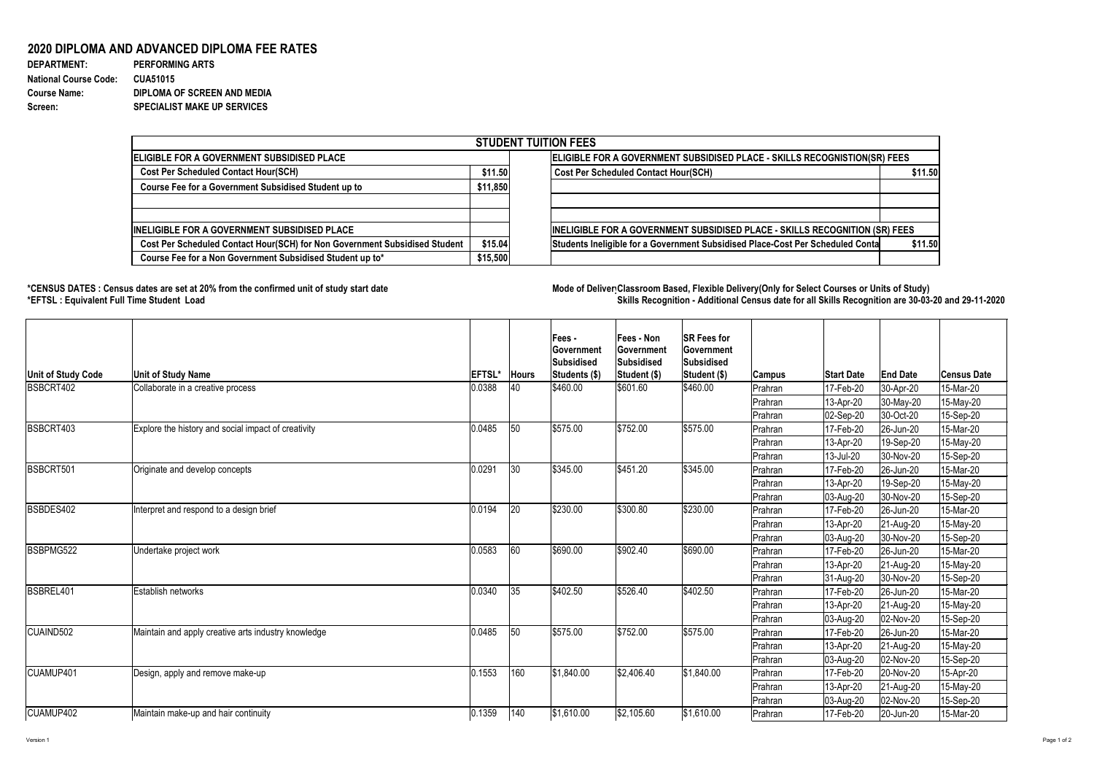Version 1 Page 1 of 2

## **2020 DIPLOMA AND ADVANCED DIPLOMA FEE RATES**

| <b>DEPARTMENT:</b>           | <b>PERFORMING ARTS</b>             |
|------------------------------|------------------------------------|
| <b>National Course Code:</b> | <b>CUA51015</b>                    |
| <b>Course Name:</b>          | DIPLOMA OF SCREEN AND MEDIA        |
| <b>Screen:</b>               | <b>SPECIALIST MAKE UP SERVICES</b> |

## **\*CENSUS DATES : Census dates are set at 20% from the confirmed unit of study start date Mode of DeliveryClassroom Based, Flexible Delivery(Only for Select Courses or Units of Study) \*EFTSL : Equivalent Full Time Student Load Skills Recognition - Additional Census date for all Skills Recognition are 30-03-20 and 29-11-2020**



| <b>STUDENT TUITION FEES</b>                                                |                                                                           |                                                                                |         |  |  |  |  |  |
|----------------------------------------------------------------------------|---------------------------------------------------------------------------|--------------------------------------------------------------------------------|---------|--|--|--|--|--|
| ELIGIBLE FOR A GOVERNMENT SUBSIDISED PLACE                                 | ELIGIBLE FOR A GOVERNMENT SUBSIDISED PLACE - SKILLS RECOGNISTION(SR) FEES |                                                                                |         |  |  |  |  |  |
| <b>Cost Per Scheduled Contact Hour(SCH)</b>                                |                                                                           | <b>Cost Per Scheduled Contact Hour(SCH)</b>                                    | \$11.50 |  |  |  |  |  |
| <b>Course Fee for a Government Subsidised Student up to</b>                | \$11,850                                                                  |                                                                                |         |  |  |  |  |  |
|                                                                            |                                                                           |                                                                                |         |  |  |  |  |  |
| <b>INELIGIBLE FOR A GOVERNMENT SUBSIDISED PLACE</b>                        |                                                                           | INELIGIBLE FOR A GOVERNMENT SUBSIDISED PLACE - SKILLS RECOGNITION (SR) FEES    |         |  |  |  |  |  |
| Cost Per Scheduled Contact Hour(SCH) for Non Government Subsidised Student | \$15.04                                                                   | Students Ineligible for a Government Subsidised Place-Cost Per Scheduled Conta | \$11.50 |  |  |  |  |  |
| Course Fee for a Non Government Subsidised Student up to*                  | \$15,500                                                                  |                                                                                |         |  |  |  |  |  |

| Unit of Study Code | <b>Unit of Study Name</b>                           | EFTSL* | <b>Hours</b>  | <b>Fees-</b><br><b>Government</b><br><b>Subsidised</b><br>Students (\$) | <b>Fees - Non</b><br><b>Sovernment</b><br><b>Subsidised</b><br>Student (\$) | <b>SR Fees for</b><br><b>Government</b><br><b>Subsidised</b><br><b>Student (\$)</b> | Campus         | <b>Start Date</b> | <b>End Date</b> | <b>Census Date</b> |
|--------------------|-----------------------------------------------------|--------|---------------|-------------------------------------------------------------------------|-----------------------------------------------------------------------------|-------------------------------------------------------------------------------------|----------------|-------------------|-----------------|--------------------|
| BSBCRT402          | Collaborate in a creative process                   | 0.0388 | 40            | \$460.00                                                                | \$601.60                                                                    | \$460.00                                                                            | Prahran        | 17-Feb-20         | 30-Apr-20       | 15-Mar-20          |
|                    |                                                     |        |               |                                                                         |                                                                             |                                                                                     | Prahran        | $13-Apr-20$       | $ 30-May-20 $   | 15-May-20          |
|                    |                                                     |        |               |                                                                         |                                                                             |                                                                                     | <b>Prahran</b> | $ 02-Sep-20 $     | $ 30$ -Oct-20   | 15-Sep-20          |
| BSBCRT403          | Explore the history and social impact of creativity | 0.0485 | 50            | \$575.00                                                                | \$752.00                                                                    | \$575.00                                                                            | Prahran        | 17-Feb-20         | 26-Jun-20       | 15-Mar-20          |
|                    |                                                     |        |               |                                                                         |                                                                             |                                                                                     | Prahran        | 13-Apr-20         | 19-Sep-20       | 15-May-20          |
|                    |                                                     |        |               |                                                                         |                                                                             |                                                                                     | Prahran        | 13-Jul-20         | 30-Nov-20       | 15-Sep-20          |
| BSBCRT501          | Originate and develop concepts                      | 0.0291 | $ 30\rangle$  | \$345.00                                                                | \$451.20                                                                    | \$345.00                                                                            | Prahran        | 17-Feb-20         | 26-Jun-20       | 15-Mar-20          |
|                    |                                                     |        |               |                                                                         |                                                                             |                                                                                     | Prahran        | 13-Apr-20         | 19-Sep-20       | 15-May-20          |
|                    |                                                     |        |               |                                                                         |                                                                             |                                                                                     | Prahran        | 03-Aug-20         | 30-Nov-20       | 15-Sep-20          |
| BSBDES402          | Interpret and respond to a design brief             | 0.0194 | 20            | \$230.00                                                                | \$300.80                                                                    | \$230.00                                                                            | Prahran        | 17-Feb-20         | 26-Jun-20       | 15-Mar-20          |
|                    |                                                     |        |               |                                                                         |                                                                             |                                                                                     | Prahran        | 13-Apr-20         | 21-Aug-20       | 15-May-20          |
|                    |                                                     |        |               |                                                                         |                                                                             |                                                                                     | Prahran        | $ 03 - Aug - 20 $ | 30-Nov-20       | 15-Sep-20          |
| <b>BSBPMG522</b>   | Undertake project work                              | 0.0583 | 60            | \$690.00                                                                | \$902.40                                                                    | \$690.00                                                                            | Prahran        | 17-Feb-20         | 26-Jun-20       | 15-Mar-20          |
|                    |                                                     |        |               |                                                                         |                                                                             |                                                                                     | Prahran        | 13-Apr-20         | $ 21-Aug-20 $   | 15-May-20          |
|                    |                                                     |        |               |                                                                         |                                                                             |                                                                                     | Prahran        | 31-Aug-20         | 30-Nov-20       | 15-Sep-20          |
| BSBREL401          | Establish networks                                  | 0.0340 | 35            | \$402.50                                                                | \$526.40                                                                    | \$402.50                                                                            | Prahran        | 17-Feb-20         | 26-Jun-20       | 15-Mar-20          |
|                    |                                                     |        |               |                                                                         |                                                                             |                                                                                     | Prahran        | 13-Apr-20         | $ 21-Aug-20 $   | 15-May-20          |
|                    |                                                     |        |               |                                                                         |                                                                             |                                                                                     | Prahran        | 03-Aug-20         | 02-Nov-20       | 15-Sep-20          |
| CUAIND502          | Maintain and apply creative arts industry knowledge | 0.0485 | 50            | \$575.00                                                                | \$752.00                                                                    | \$575.00                                                                            | Prahran        | 17-Feb-20         | 26-Jun-20       | 15-Mar-20          |
|                    |                                                     |        |               |                                                                         |                                                                             |                                                                                     | <b>Prahran</b> | 13-Apr-20         | 21-Aug-20       | 15-May-20          |
|                    |                                                     |        |               |                                                                         |                                                                             |                                                                                     | Prahran        | $ 03 - Aug - 20 $ | 02-Nov-20       | 15-Sep-20          |
| <b>CUAMUP401</b>   | Design, apply and remove make-up                    | 0.1553 | 160           | \$1,840.00                                                              | \$2,406.40                                                                  | \$1,840.00                                                                          | Prahran        | 17-Feb-20         | 20-Nov-20       | 15-Apr-20          |
|                    |                                                     |        |               |                                                                         |                                                                             |                                                                                     | <b>Prahran</b> | $13$ -Apr-20      | $ 21 - Aug-20 $ | 15-May-20          |
|                    |                                                     |        |               |                                                                         |                                                                             |                                                                                     | <b>Prahran</b> | $ 03 - Aug - 20 $ | 02-Nov-20       | 15-Sep-20          |
| CUAMUP402          | Maintain make-up and hair continuity                | 0.1359 | $ 140\rangle$ | \$1,610.00                                                              | \$2,105.60                                                                  | \$1,610.00                                                                          | <b>Prahran</b> | 17-Feb-20         | 20-Jun-20       | 15-Mar-20          |